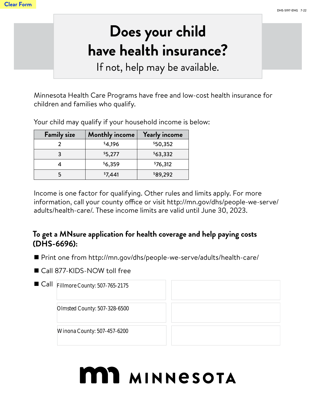## **Does your child have health insurance?**

If not, help may be available.

Minnesota Health Care Programs have free and low-cost health insurance for children and families who qualify.

Your child may qualify if your household income is below:

| <b>Family size</b> | <b>Monthly income</b> | <b>Yearly income</b> |
|--------------------|-----------------------|----------------------|
|                    | \$4,196               | \$50,352             |
|                    | \$5,277               | \$63,332             |
|                    | \$6,359               | \$76,312             |
|                    | \$7,441               | \$89,292             |

Income is one factor for qualifying. Other rules and limits apply. For more information, call your county office or visit http://mn.gov/dhs/people-we-serve/ adults/health-care/. These income limits are valid until June 30, 2023.

## **To get a MNsure application for health coverage and help paying costs (DHS-6696):**

- Print one from http://mn.gov/dhs/people-we-serve/adults/health-care/
- Call 877-KIDS-NOW toll free

| <b>Winona County: 507-457-6200</b> |                                                                                                    |
|------------------------------------|----------------------------------------------------------------------------------------------------|
|                                    | $\blacksquare$ Call<br><b>Fillmore County: 507-765-2175</b><br><b>Olmsted County: 507-328-6500</b> |